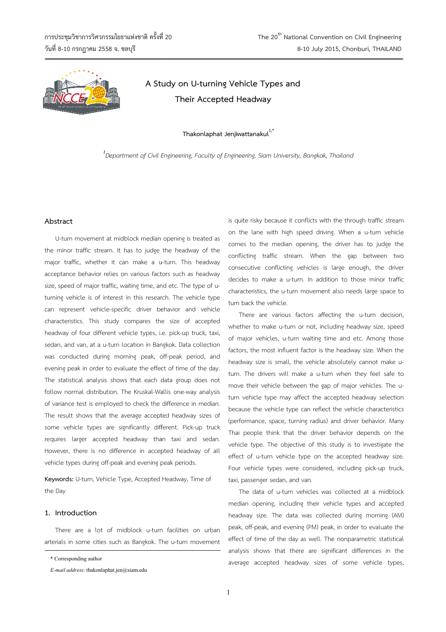

# **A Study Study on U-turning Vehicle Types and Their Accepted Headway**

**Thakonlaphat Jenjiwattanakul1,\***

*1 Department of Civil Engineering, Faculty of Engineering, Siam University, Bangkok, Thailand ,* 

## **Abstract**

U-turn movement at midblock median opening is treated as<br>minor traffic stream. It has to judge the headway of the<br>or traffic, whether it can make a u-turn. This headway the minor traffic stream. It has to judge the headway of the major traffic, whether it can make a u-turn. This headway acceptance behavior relies on various factors such as headway size, speed of major traffic, waiting time, and etc. The type of uturning vehicle is of interest in this research. The vehicle type can represent vehicle-specific driver behavior and vehicle characteristics. This study compares the size of accepted headway of four different vehicle types, i.e. pick-up truck, taxi, sedan, and van, at a u-turn location in Bangkok. Data collection sedan, and van, at a u-turn location in Bangkok. Data collection<br>was conducted during morning peak, off-peak period, and evening peak in order to evaluate the effect of time of the day. The statistical analysis shows that each data group does not follow normal distribution. The Kruskal-Wallis one-way analysis of variance test is employed to check the difference in m median. The result shows that the average accepted headway sizes of some vehicle types are significantly different. Pick-up truck requires larger accepted headway than taxi and sedan. However, there is no difference in accepted headway of all vehicle types during off-peak and evening peak periods.

**Keywords:** U-turn, Vehicle Type, Accepted Headway, Time of the Day

# **1. Introduction**

There are a lot of midblock u-turn facilities on urban arterials in some cities such as Bangkok. The u-turn movement during off-peak and evening peak periods.<br>
turn, Vehicle Type, Accepted Headway, Time of<br> **complement**<br>
complement<br>
tion<br>
me cities such as Bangkok. The u-turn movement is quite risky because it conflicts with the through traffic stream on the lane with high speed driving. When a u-turn vehicle comes to the median opening, the driver has to judge the conflicting traffic stream. When the gap between two<br>consecutive conflicting vehicles is large enough, the driver<br>decides to make a u-turn. In addition to those minor traffic<br>characteristics, the u-turn movement also needs consecutive conflicting vehicles is large enough, the driver decides to make a u-turn. In addition to those minor traffic characteristics, the u-turn movement also needs large space to turn back the vehicle.

There are various factors affecting the u-turn decision, whether to make u-turn or not, including headway size, speed whether to make u-turn or not, including headway size, speed<br>of major vehicles, u-turn waiting time and etc. Among those factors, the most influent factor is the headway size. When the headway size is small, the vehicle absolutely cannot make uturn. The drivers will make a u-turn when they feel safe to<br>move their vehicle between the gap of major vehicles. The umove their vehicle between the gap of major vehicles. The uturn vehicle type may affect the accepted headway selection because the vehicle type can reflect the vehicle characteristics (performance, space, turning radius) and driver behavior. Many Thai people think that the driver behavior depends on the vehicle type. The objective of this study is to investigate the effect of u-turn vehicle type on the accepted headway size. Four vehicle types were considered, including pick-up truck, taxi, passenger sedan, and van.

The data of u-turn vehicles was collected at a midblock<br>dian opening, including their vehicle types and accepted<br>dway size. The data was collected during morning (AM) median opening, including their vehicle types and accepted headway size. The data was collected during morning (AM) peak, off-peak, and evening (PM) peak, in order to evaluate the effect of time of the day as well. The nonparametric statistical analysis shows that there are significant differences in the average accepted headway sizes of some vehicle types,

<sup>\*</sup> Corresponding author

*E-mail address*: thakonlaphat.jen@siam.edu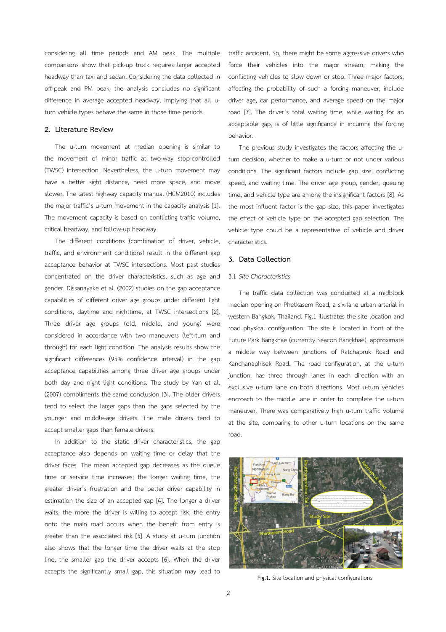considering all time periods and AM peak. The multiple comparisons show that pick-up truck requires larger accepted headway than taxi and sedan. Considering the data collected in off-peak and PM peak, the analysis concludes no significant difference in average accepted headway, implying that all uturn vehicle types behave the same in those time periods.

#### **2. Literature Review**

The u-turn movement at median opening is similar to the movement of minor traffic at two-way stop-controlled (TWSC) intersection. Nevertheless, the u-turn movement may have a better sight distance, need more space, and move slower. The latest highway capacity manual (HCM2010) includes the major traffic's u-turn movement in the capacity analysis [1]. The movement capacity is based on conflicting traffic volume, critical headway, and follow-up headway.

The different conditions (combination of driver, vehicle, traffic, and environment conditions) result in the different gap acceptance behavior at TWSC intersections. Most past studies concentrated on the driver characteristics, such as age and gender. Dissanayake et al. (2002) studies on the gap acceptance capabilities of different driver age groups under different light conditions, daytime and nighttime, at TWSC intersections [2]. Three driver age groups (old, middle, and young) were considered in accordance with two maneuvers (left-turn and through) for each light condition. The analysis results show the significant differences (95% confidence interval) in the gap acceptance capabilities among three driver age groups under both day and night light conditions. The study by Yan et al. (2007) compliments the same conclusion [3]. The older drivers tend to select the larger gaps than the gaps selected by the younger and middle-age drivers. The male drivers tend to accept smaller gaps than female drivers.

In addition to the static driver characteristics, the gap acceptance also depends on waiting time or delay that the driver faces. The mean accepted gap decreases as the queue time or service time increases; the longer waiting time, the greater driver's frustration and the better driver capability in estimation the size of an accepted gap [4]. The longer a driver waits, the more the driver is willing to accept risk; the entry onto the main road occurs when the benefit from entry is greater than the associated risk [5]. A study at u-turn junction also shows that the longer time the driver waits at the stop line, the smaller gap the driver accepts [6]. When the driver accepts the significantly small gap, this situation may lead to traffic accident. So, there might be some aggressive drivers who force their vehicles into the major stream, making the conflicting vehicles to slow down or stop. Three major factors, affecting the probability of such a forcing maneuver, include driver age, car performance, and average speed on the major road [7]. The driver's total waiting time, while waiting for an acceptable gap, is of little significance in incurring the forcing behavior.

The previous study investigates the factors affecting the uturn decision, whether to make a u-turn or not under various conditions. The significant factors include gap size, conflicting speed, and waiting time. The driver age group, gender, queuing time, and vehicle type are among the insignificant factors [8]. As the most influent factor is the gap size, this paper investigates the effect of vehicle type on the accepted gap selection. The vehicle type could be a representative of vehicle and driver characteristics.

# **3. Data Collection**

## 3.1 *Site Characteristics*

The traffic data collection was conducted at a midblock median opening on Phetkasem Road, a six-lane urban arterial in western Bangkok, Thailand. Fig.1 illustrates the site location and road physical configuration. The site is located in front of the Future Park Bangkhae (currently Seacon Bangkhae), approximate a middle way between junctions of Ratchapruk Road and Kanchanaphisek Road. The road configuration, at the u-turn junction, has three through lanes in each direction with an exclusive u-turn lane on both directions. Most u-turn vehicles encroach to the middle lane in order to complete the u-turn maneuver. There was comparatively high u-turn traffic volume at the site, comparing to other u-turn locations on the same road.



**Fig.1.** Site location and physical configurations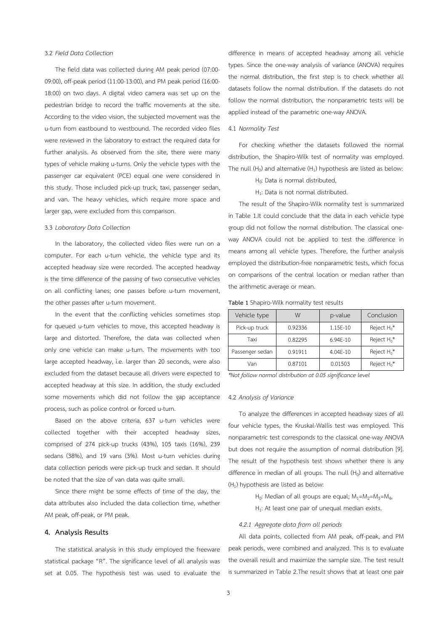## 3.2 *Field Data Collection*

The field data was collected during AM peak period (07:00- 09:00), off-peak period (11:00-13:00), and PM peak period (16:00- 18:00) on two days. A digital video camera was set up on the pedestrian bridge to record the traffic movements at the site. According to the video vision, the subjected movement was the u-turn from eastbound to westbound. The recorded video files were reviewed in the laboratory to extract the required data for further analysis. As observed from the site, there were many types of vehicle making u-turns. Only the vehicle types with the passenger car equivalent (PCE) equal one were considered in this study. Those included pick-up truck, taxi, passenger sedan, and van. The heavy vehicles, which require more space and larger gap, were excluded from this comparison.

## 3.3 *Laboratory Data Collection*

In the laboratory, the collected video files were run on a computer. For each u-turn vehicle, the vehicle type and its accepted headway size were recorded. The accepted headway is the time difference of the passing of two consecutive vehicles on all conflicting lanes; one passes before u-turn movement, the other passes after u-turn movement.

In the event that the conflicting vehicles sometimes stop for queued u-turn vehicles to move, this accepted headway is large and distorted. Therefore, the data was collected when only one vehicle can make u-turn. The movements with too large accepted headway, i.e. larger than 20 seconds, were also excluded from the dataset because all drivers were expected to accepted headway at this size. In addition, the study excluded some movements which did not follow the gap acceptance process, such as police control or forced u-turn.

Based on the above criteria, 637 u-turn vehicles were collected together with their accepted headway sizes, comprised of 274 pick-up trucks (43%), 105 taxis (16%), 239 sedans (38%), and 19 vans (3%). Most u-turn vehicles during data collection periods were pick-up truck and sedan. It should be noted that the size of van data was quite small.

Since there might be some effects of time of the day, the data attributes also included the data collection time, whether AM peak, off-peak, or PM peak.

#### **4. Analysis Results**

The statistical analysis in this study employed the freeware statistical package "R". The significance level of all analysis was set at 0.05. The hypothesis test was used to evaluate the difference in means of accepted headway among all vehicle types. Since the one-way analysis of variance (ANOVA) requires the normal distribution, the first step is to check whether all datasets follow the normal distribution. If the datasets do not follow the normal distribution, the nonparametric tests will be applied instead of the parametric one-way ANOVA.

### 4.1 *Normality Test*

For checking whether the datasets followed the normal distribution, the Shapiro-Wilk test of normality was employed. The null  $(H_0)$  and alternative  $(H_1)$  hypothesis are listed as below:

H<sub>0</sub>: Data is normal distributed,

 $H_1$ : Data is not normal distributed.

The result of the Shapiro-Wilk normality test is summarized in Table 1.It could conclude that the data in each vehicle type group did not follow the normal distribution. The classical oneway ANOVA could not be applied to test the difference in means among all vehicle types. Therefore, the further analysis employed the distribution-free nonparametric tests, which focus on comparisons of the central location or median rather than the arithmetic average or mean.

**Table 1** Shapiro-Wilk normality test results

| Vehicle type    | W       | p-value  | Conclusion     |
|-----------------|---------|----------|----------------|
| Pick-up truck   | 0.92336 | 1.15E-10 | Reject $H_0^*$ |
| Taxi            | 0.82295 | 6.94E-10 | Reject $H_0^*$ |
| Passenger sedan | 0.91911 | 4.04E-10 | Reject $H_0^*$ |
| Van             | 0.87101 | 0.01503  | Reject $H_0^*$ |

*\*Not follow normal distribution at 0.05 significance level* 

#### 4.2 *Analysis of Variance*

To analyze the differences in accepted headway sizes of all four vehicle types, the Kruskal-Wallis test was employed. This nonparametric test corresponds to the classical one-way ANOVA but does not require the assumption of normal distribution [9]. The result of the hypothesis test shows whether there is any difference in median of all groups. The null  $(H_0)$  and alternative  $(H<sub>1</sub>)$  hypothesis are listed as below:

> $H_0$ : Median of all groups are equal;  $M_1 = M_2 = M_3 = M_4$ ,  $H_1$ : At least one pair of unequal median exists.

#### *4.2.1 Aggregate data from all periods*

All data points, collected from AM peak, off-peak, and PM peak periods, were combined and analyzed. This is to evaluate the overall result and maximize the sample size. The test result is summarized in Table 2.The result shows that at least one pair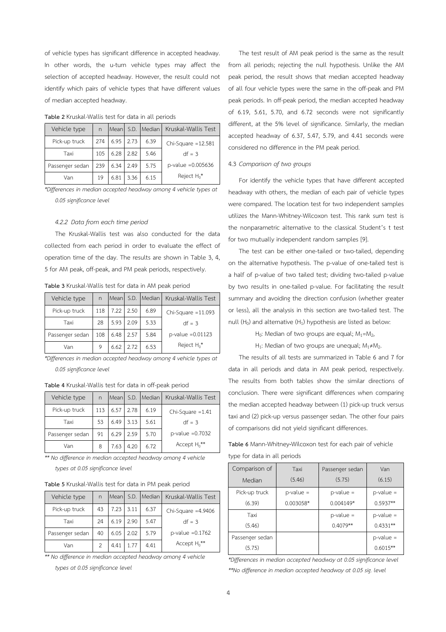of vehicle types has significant difference in accepted headway. In other words, the u-turn vehicle types may affect the selection of accepted headway. However, the result could not identify which pairs of vehicle types that have different values of median accepted headway.

| Vehicle type    | n   |      |      |      | Mean S.D. Median Kruskal-Wallis Test |
|-----------------|-----|------|------|------|--------------------------------------|
| Pick-up truck   | 274 | 6.95 | 2.73 | 6.39 | Chi-Square $=12.581$                 |
| Taxi            | 105 | 6.28 | 2.82 | 5.46 | $df = 3$                             |
| Passenger sedan | 239 | 6.34 | 2.49 | 5.75 | $p$ -value = 0.005636                |
| Van             | 19  | 6.81 | 3.36 | 6.15 | Reject $H_0^*$                       |

**Table 2** Kruskal-Wallis test for data in all periods

*\*Differences in median accepted headway among 4 vehicle types at 0.05 significance level* 

#### *4.2.2 Data from each time period*

The Kruskal-Wallis test was also conducted for the data collected from each period in order to evaluate the effect of operation time of the day. The results are shown in Table 3, 4, 5 for AM peak, off-peak, and PM peak periods, respectively.

**Table 3** Kruskal-Wallis test for data in AM peak period

| Vehicle type    | n   |      |      | Mean S.D. Median | Kruskal-Wallis Test  |
|-----------------|-----|------|------|------------------|----------------------|
| Pick-up truck   | 118 | 7.22 | 2.50 | 6.89             | Chi-Square $=11.093$ |
| Taxi            | 28  | 5.93 | 2.09 | 5.33             | $df = 3$             |
| Passenger sedan | 108 | 6.48 | 2.57 | 5.84             | $p$ -value = 0.01123 |
| Van             | 9   | 6.62 | 2.72 | 6.53             | Reject $H_0^*$       |

*\*Differences in median accepted headway among 4 vehicle types at 0.05 significance level* 

**Table 4** Kruskal-Wallis test for data in off-peak period

| Vehicle type    | n   |      |      |      | Mean S.D. Median Kruskal-Wallis Test |
|-----------------|-----|------|------|------|--------------------------------------|
| Pick-up truck   | 113 | 6.57 | 2.78 | 6.19 | Chi-Square $=1.41$                   |
| Taxi            | 53  | 6.49 | 3.13 | 5.61 | $df = 3$                             |
| Passenger sedan | 91  | 6.29 | 2.59 | 5.70 | $p$ -value = 0.7032                  |
| Van             | 8   | 7.63 | 4.20 | 6.72 | Accept $H_0$ **                      |

*\*\* No difference in median accepted headway among 4 vehicle types at 0.05 significance level* 

**Table 5** Kruskal-Wallis test for data in PM peak period

| Vehicle type    | n  | Mean |      | S.D. Median | Kruskal-Wallis Test |
|-----------------|----|------|------|-------------|---------------------|
| Pick-up truck   | 43 | 7.23 | 3.11 | 6.37        | Chi-Square = 4.9406 |
| Taxi            | 24 | 6.19 | 2.90 | 5.47        | $df = 3$            |
| Passenger sedan | 40 | 6.05 | 2.02 | 5.79        | $p$ -value = 0.1762 |
| Van             |    | 4.41 | 1.77 | 4.41        | Accept $H_0$ **     |

*\*\* No difference in median accepted headway among 4 vehicle* 

*types at 0.05 significance level* 

The test result of AM peak period is the same as the result from all periods; rejecting the null hypothesis. Unlike the AM peak period, the result shows that median accepted headway of all four vehicle types were the same in the off-peak and PM peak periods. In off-peak period, the median accepted headway of 6.19, 5.61, 5.70, and 6.72 seconds were not significantly different, at the 5% level of significance. Similarly, the median accepted headway of 6.37, 5.47, 5.79, and 4.41 seconds were considered no difference in the PM peak period.

## 4.3 *Comparison of two groups*

For identify the vehicle types that have different accepted headway with others, the median of each pair of vehicle types were compared. The location test for two independent samples utilizes the Mann-Whitney-Wilcoxon test. This rank sum test is the nonparametric alternative to the classical Student's t test for two mutually independent random samples [9].

The test can be either one-tailed or two-tailed, depending on the alternative hypothesis. The p-value of one-tailed test is a half of p-value of two tailed test; dividing two-tailed p-value by two results in one-tailed p-value. For facilitating the result summary and avoiding the direction confusion (whether greater or less), all the analysis in this section are two-tailed test. The null  $(H_0)$  and alternative  $(H_1)$  hypothesis are listed as below:

 $H_0$ : Median of two groups are equal;  $M_1 = M_2$ ,

H<sub>1</sub>: Median of two groups are unequal;  $M_1 \neq M_2$ .

The results of all tests are summarized in Table 6 and 7 for data in all periods and data in AM peak period, respectively. The results from both tables show the similar directions of conclusion. There were significant differences when comparing the median accepted headway between (1) pick-up truck versus taxi and (2) pick-up versus passenger sedan. The other four pairs of comparisons did not yield significant differences.

**Table 6** Mann-Whitney**-**Wilcoxon test for each pair of vehicle type for data in all periods

| Comparison of   | Taxi         | Passenger sedan | Van          |
|-----------------|--------------|-----------------|--------------|
| Median          | (5.46)       | (5.75)          | (6.15)       |
| Pick-up truck   | $p$ -value = | $p$ -value =    | $p$ -value = |
| (6.39)          | $0.003058*$  | $0.004149*$     | $0.5937**$   |
| Taxi            |              | $p$ -value =    | $p$ -value = |
| (5.46)          |              | $0.4079**$      | $0.4331**$   |
| Passenger sedan |              |                 | $p$ -value = |
| (5.75)          |              |                 | $0.6015***$  |

*\*Differences in median accepted headway at 0.05 significance level \*\*No difference in median accepted headway at 0.05 sig. level*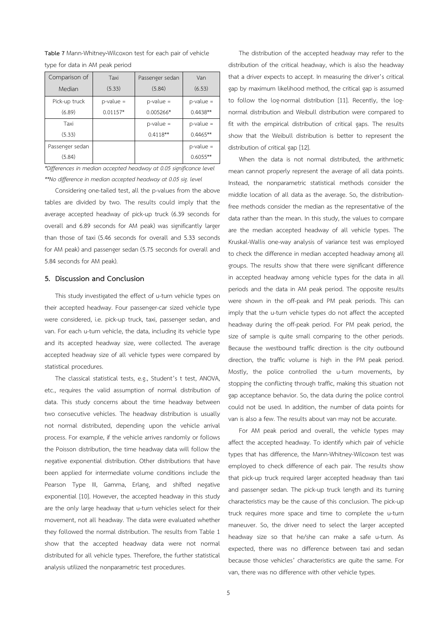**Table 7** Mann-Whitney**-**Wilcoxon test for each pair of vehicle type for data in AM peak period

| Comparison of   | Taxi         | Passenger sedan | Van          |
|-----------------|--------------|-----------------|--------------|
| Median          | (5.33)       | (5.84)          | (6.53)       |
| Pick-up truck   | $p$ -value = | $p$ -value =    | $p$ -value = |
| (6.89)          | $0.01157*$   | $0.005266*$     | $0.4438**$   |
| Taxi            |              | p-value =       | $p$ -value = |
| (5.33)          |              | $0.4118**$      | $0.4465***$  |
| Passenger sedan |              |                 | $p$ -value = |
| (5.84)          |              |                 | $0.6055***$  |

*\*Differences in median accepted headway at 0.05 significance level \*\*No difference in median accepted headway at 0.05 sig. level* 

Considering one-tailed test, all the p-values from the above tables are divided by two. The results could imply that the average accepted headway of pick-up truck (6.39 seconds for overall and 6.89 seconds for AM peak) was significantly larger than those of taxi (5.46 seconds for overall and 5.33 seconds for AM peak) and passenger sedan (5.75 seconds for overall and 5.84 seconds for AM peak).

# **5. Discussion and Conclusion**

This study investigated the effect of u-turn vehicle types on their accepted headway. Four passenger-car sized vehicle type were considered, i.e. pick-up truck, taxi, passenger sedan, and van. For each u-turn vehicle, the data, including its vehicle type and its accepted headway size, were collected. The average accepted headway size of all vehicle types were compared by statistical procedures.

The classical statistical tests, e.g., Student's t test, ANOVA, etc., requires the valid assumption of normal distribution of data. This study concerns about the time headway between two consecutive vehicles. The headway distribution is usually not normal distributed, depending upon the vehicle arrival process. For example, if the vehicle arrives randomly or follows the Poisson distribution, the time headway data will follow the negative exponential distribution. Other distributions that have been applied for intermediate volume conditions include the Pearson Type III, Gamma, Erlang, and shifted negative exponential [10]. However, the accepted headway in this study are the only large headway that u-turn vehicles select for their movement, not all headway. The data were evaluated whether they followed the normal distribution. The results from Table 1 show that the accepted headway data were not normal distributed for all vehicle types. Therefore, the further statistical analysis utilized the nonparametric test procedures.

The distribution of the accepted headway may refer to the distribution of the critical headway, which is also the headway that a driver expects to accept. In measuring the driver's critical gap by maximum likelihood method, the critical gap is assumed to follow the log-normal distribution [11]. Recently, the lognormal distribution and Weibull distribution were compared to fit with the empirical distribution of critical gaps. The results show that the Weibull distribution is better to represent the distribution of critical gap [12].

When the data is not normal distributed, the arithmetic mean cannot properly represent the average of all data points. Instead, the nonparametric statistical methods consider the middle location of all data as the average. So, the distributionfree methods consider the median as the representative of the data rather than the mean. In this study, the values to compare are the median accepted headway of all vehicle types. The Kruskal-Wallis one-way analysis of variance test was employed to check the difference in median accepted headway among all groups. The results show that there were significant difference in accepted headway among vehicle types for the data in all periods and the data in AM peak period. The opposite results were shown in the off-peak and PM peak periods. This can imply that the u-turn vehicle types do not affect the accepted headway during the off-peak period. For PM peak period, the size of sample is quite small comparing to the other periods. Because the westbound traffic direction is the city outbound direction, the traffic volume is high in the PM peak period. Mostly, the police controlled the u-turn movements, by stopping the conflicting through traffic, making this situation not gap acceptance behavior. So, the data during the police control could not be used. In addition, the number of data points for van is also a few. The results about van may not be accurate.

For AM peak period and overall, the vehicle types may affect the accepted headway. To identify which pair of vehicle types that has difference, the Mann-Whitney-Wilcoxon test was employed to check difference of each pair. The results show that pick-up truck required larger accepted headway than taxi and passenger sedan. The pick-up truck length and its turning characteristics may be the cause of this conclusion. The pick-up truck requires more space and time to complete the u-turn maneuver. So, the driver need to select the larger accepted headway size so that he/she can make a safe u-turn. As expected, there was no difference between taxi and sedan because those vehicles' characteristics are quite the same. For van, there was no difference with other vehicle types.